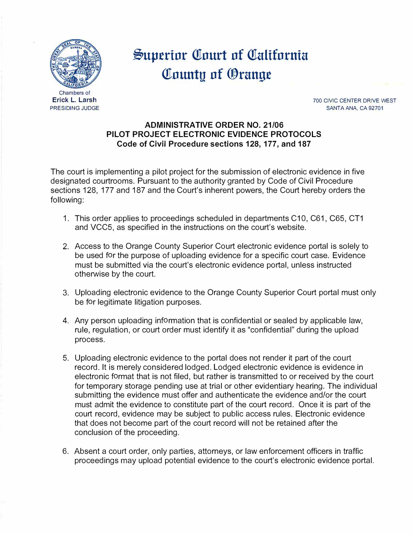

**Erick L. Larsh**  PRESIDING JUDGE

## **Superior Court of California illnuntu nf ®rangt**

700 CIVIC CENTER DRIVE WEST SANTA ANA, CA 92701

## **ADMINISTRATIVE ORDER NO. 21/06 PILOT PROJECT ELECTRONIC EVIDENCE PROTOCOLS Code of Civil Procedure sections 128, 177, and 187**

The court is implementing a pilot project for the submission of electronic evidence in five designated courtrooms. Pursuant to the authority granted by Code of Civil Procedure sections 128, 177 and 187 and the Court's inherent powers, the Court hereby orders the following:

- 1. This order applies to proceedings scheduled in departments C10, C61, C65, CT1 and VCC5, as specified in the instructions on the court's website.
- 2. Access to the Orange County Superior Court electronic evidence portal is solely to be used for the purpose of uploading evidence for a specific court case. Evidence must be submitted via the court's electronic evidence portal, unless instructed otherwise by the court.
- 3. Uploading electronic evidence to the Orange County Superior Court portal must only be for legitimate litigation purposes.
- 4. Any person uploading information that is confidential or sealed by applicable law, rule, regulation, or court order must identify it as "confidential" during the upload process.
- 5. Uploading electronic evidence to the portal does not render it part of the court record. It is merely considered lodged. Lodged electronic evidence is evidence in electronic format that is not filed, but rather is transmitted to or received by the court for temporary storage pending use at trial or other evidentiary hearing. The individual submitting the evidence must offer and authenticate the evidence and/or the court must admit the evidence to constitute part of the court record. Once it is part of the court record, evidence may be subject to public access rules. Electronic evidence that does not become part of the court record will not be retained after the conclusion of the proceeding.
- 6. Absent a court order, only parties, attorneys, or law enforcement officers in traffic proceedings may upload potential evidence to the court's electronic evidence portal.